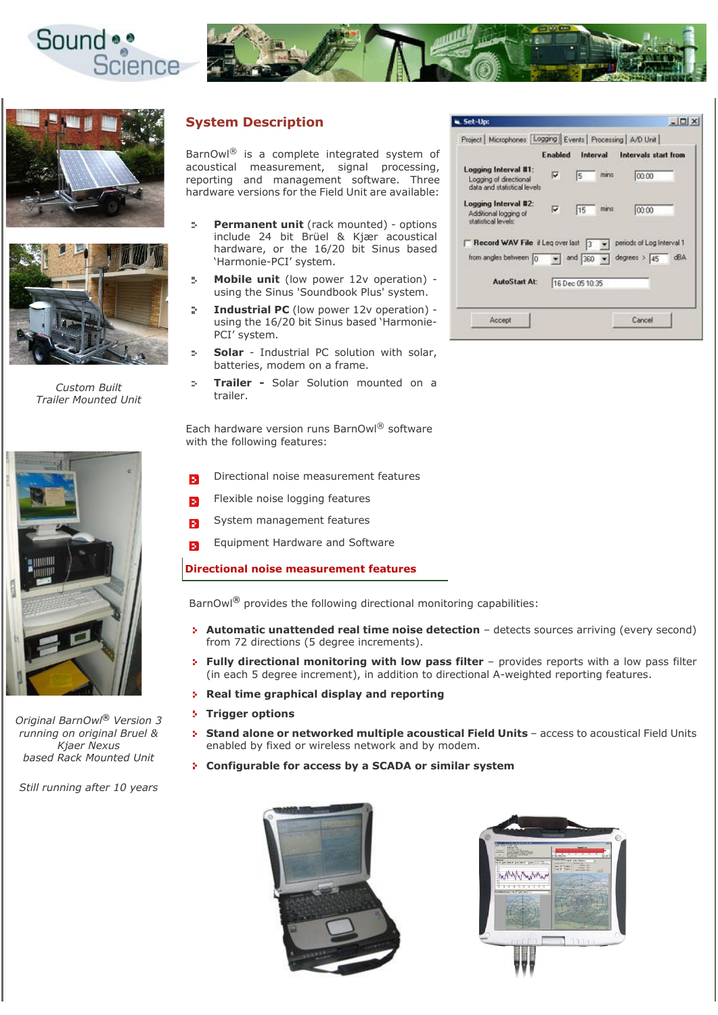







*Custom Built Trailer Mounted Unit*



PCI' system. **Solar** - Industrial PC solution with solar,  $\bar{b}$ batteries, modem on a frame.

'Harmonie-PCI' system.

**System Description**

 $\mathbf{S}_\mathrm{c}$ 

÷.

D.

**Trailer -** Solar Solution mounted on a  $\mathcal{D}_\mathcal{C}$ trailer.

BarnOwl® is a complete integrated system of acoustical measurement, signal processing, reporting and management software. Three hardware versions for the Field Unit are available:

> **Permanent unit** (rack mounted) - options include 24 bit Brüel & Kjær acoustical hardware, or the 16/20 bit Sinus based

> **Mobile unit** (low power 12v operation) using the Sinus 'Soundbook Plus' system. **Industrial PC** (low power 12v operation) using the 16/20 bit Sinus based 'Harmonie-

Each hardware version runs BarnOwl® software with the following features:

- Directional noise measurement features
- Flexible noise logging features
- System management features ъ
- Equipment Hardware and Software Í.

## **Directional noise measurement features**

BarnOwl® provides the following directional monitoring capabilities:

- **Automatic unattended real time noise detection** detects sources arriving (every second) from 72 directions (5 degree increments).
- **Fully directional monitoring with low pass filter** provides reports with a low pass filter (in each 5 degree increment), in addition to directional A-weighted reporting features.
- **Real time graphical display and reporting**
- **Trigger options**
- **Stand alone or networked multiple acoustical Field Units access to acoustical Field Units** enabled by fixed or wireless network and by modem.
- **Configurable for access by a SCADA or similar system**





 $Set-Upc$  $|D|$  $\times$ Project | Microphones | Logging | Events | Processing | A/D Unit | **Enabled** Interval Intervals start from Logging Interval #1:  $\overline{0000}$ Logging of directional<br>data and statistical level Logging Interval #2 00:00  $\sqrt{15}$ Additional logging of statistical leve  $\sqrt{\phantom{a}}$  periods of Log Interval 1 F Record WAV File if Leg over last 3 from angles between 0 v and  $\boxed{360}$  v degrees >  $\boxed{45}$  dBA AutoStart At: 76 Dec 05 10:35 Accept Cancel



*Original BarnOwl*® *Version 3 running on original Bruel & Kjaer Nexus based Rack Mounted Unit*

*Still running after 10 years*